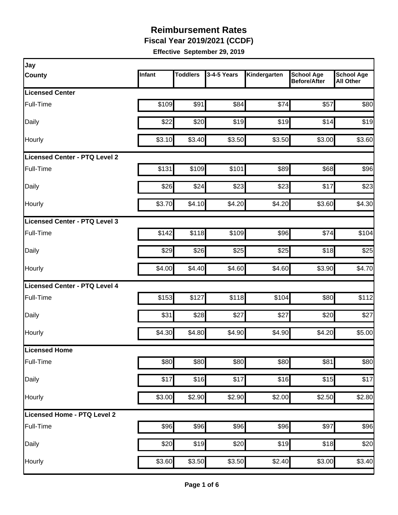**Fiscal Year 2019/2021 (CCDF)**

| Jay                           |        |                 |             |              |                                          |                                       |
|-------------------------------|--------|-----------------|-------------|--------------|------------------------------------------|---------------------------------------|
| <b>County</b>                 | Infant | <b>Toddlers</b> | 3-4-5 Years | Kindergarten | <b>School Age</b><br><b>Before/After</b> | <b>School Age</b><br><b>All Other</b> |
| <b>Licensed Center</b>        |        |                 |             |              |                                          |                                       |
| Full-Time                     | \$109  | \$91            | \$84        | \$74         | \$57                                     | \$80                                  |
| Daily                         | \$22   | \$20            | \$19        | \$19         | \$14                                     | \$19                                  |
| Hourly                        | \$3.10 | \$3.40          | \$3.50      | \$3.50       | \$3.00                                   | \$3.60                                |
| Licensed Center - PTQ Level 2 |        |                 |             |              |                                          |                                       |
| Full-Time                     | \$131  | \$109           | \$101       | \$89         | \$68                                     | \$96                                  |
| Daily                         | \$26   | \$24            | \$23        | \$23         | \$17                                     | \$23                                  |
| <b>Hourly</b>                 | \$3.70 | \$4.10          | \$4.20      | \$4.20       | \$3.60                                   | \$4.30                                |
| Licensed Center - PTQ Level 3 |        |                 |             |              |                                          |                                       |
| Full-Time                     | \$142  | \$118           | \$109       | \$96         | \$74                                     | \$104                                 |
| Daily                         | \$29   | \$26            | \$25        | \$25         | \$18                                     | \$25                                  |
| Hourly                        | \$4.00 | \$4.40          | \$4.60      | \$4.60       | \$3.90                                   | \$4.70                                |
| Licensed Center - PTQ Level 4 |        |                 |             |              |                                          |                                       |
| Full-Time                     | \$153  | \$127           | \$118       | \$104        | \$80                                     | \$112                                 |
| Daily                         | \$31   | \$28            | \$27        | \$27         | \$20                                     | \$27                                  |
| Hourly                        | \$4.30 | \$4.80          | \$4.90      | \$4.90       | \$4.20                                   | \$5.00                                |
| Licensed Home                 |        |                 |             |              |                                          |                                       |
| Full-Time                     | \$80   | \$80            | \$80        | \$80         | \$81                                     | \$80                                  |
| Daily                         | \$17   | \$16            | \$17        | \$16         | \$15                                     | \$17                                  |
| Hourly                        | \$3.00 | \$2.90          | \$2.90      | \$2.00       | \$2.50                                   | \$2.80                                |
| Licensed Home - PTQ Level 2   |        |                 |             |              |                                          |                                       |
| Full-Time                     | \$96   | \$96            | \$96        | \$96         | \$97                                     | \$96                                  |
| Daily                         | \$20   | \$19            | \$20        | \$19         | \$18                                     | \$20                                  |
| Hourly                        | \$3.60 | \$3.50          | \$3.50      | \$2.40       | \$3.00                                   | \$3.40                                |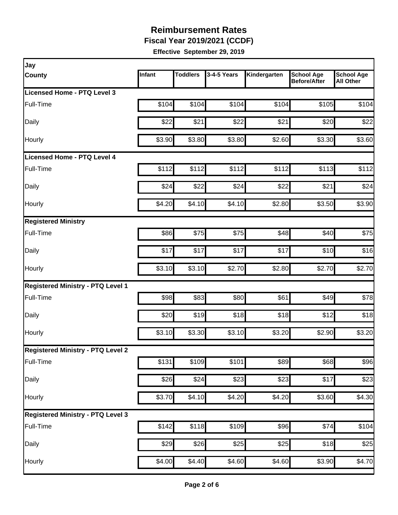**Fiscal Year 2019/2021 (CCDF)**

| Jay                                      |        |                 |                  |              |                                          |                                       |
|------------------------------------------|--------|-----------------|------------------|--------------|------------------------------------------|---------------------------------------|
| <b>County</b>                            | Infant | <b>Toddlers</b> | 3-4-5 Years      | Kindergarten | <b>School Age</b><br><b>Before/After</b> | <b>School Age</b><br><b>All Other</b> |
| <b>Licensed Home - PTQ Level 3</b>       |        |                 |                  |              |                                          |                                       |
| Full-Time                                | \$104  | \$104           | \$104            | \$104        | \$105                                    | \$104                                 |
| Daily                                    | \$22   | \$21            | \$22             | \$21         | \$20                                     | \$22                                  |
| Hourly                                   | \$3.90 | \$3.80          | \$3.80           | \$2.60       | \$3.30                                   | \$3.60                                |
| Licensed Home - PTQ Level 4              |        |                 |                  |              |                                          |                                       |
| Full-Time                                | \$112  | \$112           | \$112            | \$112        | \$113                                    | \$112                                 |
| Daily                                    | \$24   | \$22            | \$24             | \$22         | \$21                                     | \$24                                  |
| Hourly                                   | \$4.20 | \$4.10          | \$4.10           | \$2.80       | \$3.50                                   | \$3.90                                |
| <b>Registered Ministry</b>               |        |                 |                  |              |                                          |                                       |
| Full-Time                                | \$86   | \$75            | \$75             | \$48         | \$40                                     | \$75                                  |
| Daily                                    | \$17   | \$17            | \$17             | \$17         | \$10                                     | \$16                                  |
| Hourly                                   | \$3.10 | \$3.10          | \$2.70           | \$2.80       | \$2.70                                   | \$2.70                                |
| <b>Registered Ministry - PTQ Level 1</b> |        |                 |                  |              |                                          |                                       |
| Full-Time                                | \$98   | \$83            | \$80             | \$61         | \$49                                     | \$78                                  |
| Daily                                    | \$20   | \$19            | \$18             | \$18         | \$12                                     | \$18                                  |
| Hourly                                   | \$3.10 | \$3.30          | \$3.10           | \$3.20       | \$2.90                                   | \$3.20                                |
| <b>Registered Ministry - PTQ Level 2</b> |        |                 |                  |              |                                          |                                       |
| Full-Time                                | \$131  | \$109           | \$101            | \$89         | \$68                                     | \$96                                  |
| Daily                                    | \$26   | \$24            | $\overline{$}23$ | \$23         | \$17                                     | \$23                                  |
| Hourly                                   | \$3.70 | \$4.10          | \$4.20           | \$4.20       | \$3.60                                   | \$4.30                                |
| <b>Registered Ministry - PTQ Level 3</b> |        |                 |                  |              |                                          |                                       |
| Full-Time                                | \$142  | \$118           | \$109            | \$96         | \$74                                     | \$104                                 |
| Daily                                    | \$29   | \$26            | \$25             | \$25         | \$18                                     | \$25                                  |
| Hourly                                   | \$4.00 | \$4.40          | \$4.60           | \$4.60       | \$3.90                                   | \$4.70                                |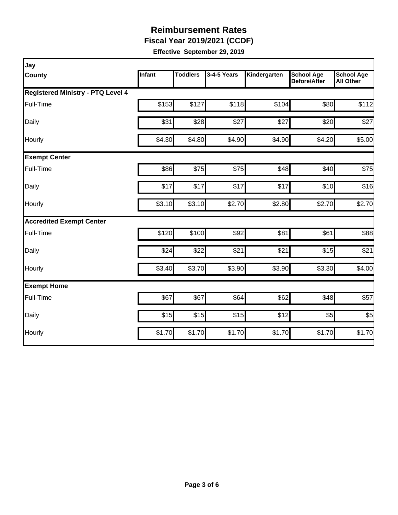**Fiscal Year 2019/2021 (CCDF)**

| Jay                                      |        |                 |             |              |                                          |                                       |
|------------------------------------------|--------|-----------------|-------------|--------------|------------------------------------------|---------------------------------------|
| County                                   | Infant | <b>Toddlers</b> | 3-4-5 Years | Kindergarten | <b>School Age</b><br><b>Before/After</b> | <b>School Age</b><br><b>All Other</b> |
| <b>Registered Ministry - PTQ Level 4</b> |        |                 |             |              |                                          |                                       |
| Full-Time                                | \$153  | \$127           | \$118       | \$104        | \$80                                     | \$112                                 |
| Daily                                    | \$31   | \$28            | \$27        | \$27         | \$20                                     | \$27                                  |
| Hourly                                   | \$4.30 | \$4.80          | \$4.90      | \$4.90       | \$4.20                                   | \$5.00                                |
| <b>Exempt Center</b>                     |        |                 |             |              |                                          |                                       |
| Full-Time                                | \$86   | \$75            | \$75        | \$48         | \$40                                     | \$75                                  |
| Daily                                    | \$17   | \$17            | \$17        | \$17         | \$10                                     | \$16                                  |
| Hourly                                   | \$3.10 | \$3.10          | \$2.70      | \$2.80       | \$2.70                                   | \$2.70                                |
| <b>Accredited Exempt Center</b>          |        |                 |             |              |                                          |                                       |
| Full-Time                                | \$120  | \$100           | \$92        | \$81         | \$61                                     | \$88                                  |
| Daily                                    | \$24   | \$22            | \$21        | \$21         | \$15                                     | \$21                                  |
| Hourly                                   | \$3.40 | \$3.70          | \$3.90      | \$3.90       | \$3.30                                   | \$4.00                                |
| <b>Exempt Home</b>                       |        |                 |             |              |                                          |                                       |
| Full-Time                                | \$67   | \$67            | \$64        | \$62         | \$48                                     | \$57                                  |
| Daily                                    | \$15   | \$15            | \$15        | \$12         | \$5                                      | \$5                                   |
| Hourly                                   | \$1.70 | \$1.70          | \$1.70      | \$1.70       | \$1.70                                   | \$1.70                                |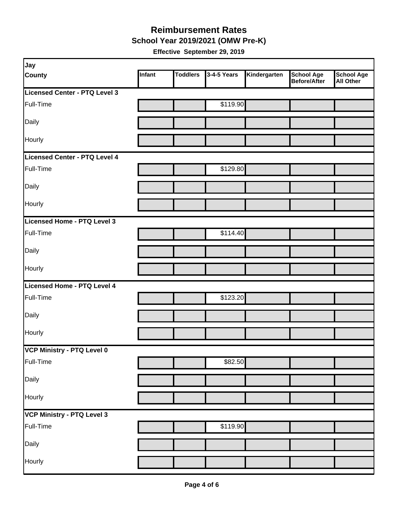**School Year 2019/2021 (OMW Pre-K)**

| Jay                           |        |                 |             |              |                                   |                         |
|-------------------------------|--------|-----------------|-------------|--------------|-----------------------------------|-------------------------|
| <b>County</b>                 | Infant | <b>Toddlers</b> | 3-4-5 Years | Kindergarten | <b>School Age</b><br>Before/After | School Age<br>All Other |
| Licensed Center - PTQ Level 3 |        |                 |             |              |                                   |                         |
| Full-Time                     |        |                 | \$119.90    |              |                                   |                         |
| Daily                         |        |                 |             |              |                                   |                         |
| Hourly                        |        |                 |             |              |                                   |                         |
| Licensed Center - PTQ Level 4 |        |                 |             |              |                                   |                         |
| Full-Time                     |        |                 | \$129.80    |              |                                   |                         |
| Daily                         |        |                 |             |              |                                   |                         |
| Hourly                        |        |                 |             |              |                                   |                         |
| Licensed Home - PTQ Level 3   |        |                 |             |              |                                   |                         |
| Full-Time                     |        |                 | \$114.40    |              |                                   |                         |
| Daily                         |        |                 |             |              |                                   |                         |
| Hourly                        |        |                 |             |              |                                   |                         |
| Licensed Home - PTQ Level 4   |        |                 |             |              |                                   |                         |
| Full-Time                     |        |                 | \$123.20    |              |                                   |                         |
| Daily                         |        |                 |             |              |                                   |                         |
| Hourly                        |        |                 |             |              |                                   |                         |
| VCP Ministry - PTQ Level 0    |        |                 |             |              |                                   |                         |
| Full-Time                     |        |                 | \$82.50     |              |                                   |                         |
| Daily                         |        |                 |             |              |                                   |                         |
| Hourly                        |        |                 |             |              |                                   |                         |
| VCP Ministry - PTQ Level 3    |        |                 |             |              |                                   |                         |
| Full-Time                     |        |                 | \$119.90    |              |                                   |                         |
| Daily                         |        |                 |             |              |                                   |                         |
| Hourly                        |        |                 |             |              |                                   |                         |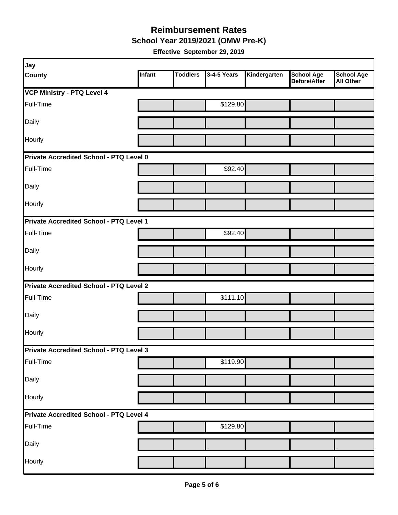**School Year 2019/2021 (OMW Pre-K)**

| Jay                                            |        |                 |             |              |                                   |                                       |
|------------------------------------------------|--------|-----------------|-------------|--------------|-----------------------------------|---------------------------------------|
| <b>County</b>                                  | Infant | <b>Toddlers</b> | 3-4-5 Years | Kindergarten | <b>School Age</b><br>Before/After | <b>School Age</b><br><b>All Other</b> |
| VCP Ministry - PTQ Level 4                     |        |                 |             |              |                                   |                                       |
| Full-Time                                      |        |                 | \$129.80    |              |                                   |                                       |
| Daily                                          |        |                 |             |              |                                   |                                       |
| Hourly                                         |        |                 |             |              |                                   |                                       |
| Private Accredited School - PTQ Level 0        |        |                 |             |              |                                   |                                       |
| Full-Time                                      |        |                 | \$92.40     |              |                                   |                                       |
| Daily                                          |        |                 |             |              |                                   |                                       |
| Hourly                                         |        |                 |             |              |                                   |                                       |
| Private Accredited School - PTQ Level 1        |        |                 |             |              |                                   |                                       |
| Full-Time                                      |        |                 | \$92.40     |              |                                   |                                       |
| Daily                                          |        |                 |             |              |                                   |                                       |
| Hourly                                         |        |                 |             |              |                                   |                                       |
| <b>Private Accredited School - PTQ Level 2</b> |        |                 |             |              |                                   |                                       |
| Full-Time                                      |        |                 | \$111.10    |              |                                   |                                       |
| Daily                                          |        |                 |             |              |                                   |                                       |
| Hourly                                         |        |                 |             |              |                                   |                                       |
| Private Accredited School - PTQ Level 3        |        |                 |             |              |                                   |                                       |
| Full-Time                                      |        |                 | \$119.90    |              |                                   |                                       |
| Daily                                          |        |                 |             |              |                                   |                                       |
| Hourly                                         |        |                 |             |              |                                   |                                       |
| Private Accredited School - PTQ Level 4        |        |                 |             |              |                                   |                                       |
| Full-Time                                      |        |                 | \$129.80    |              |                                   |                                       |
| Daily                                          |        |                 |             |              |                                   |                                       |
| Hourly                                         |        |                 |             |              |                                   |                                       |